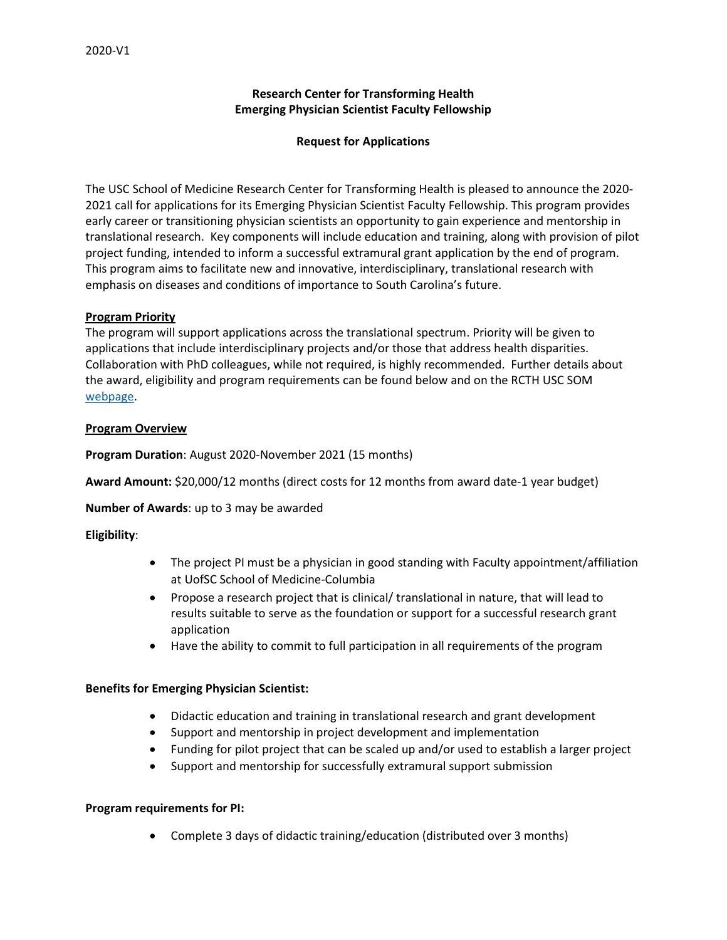## **Research Center for Transforming Health Emerging Physician Scientist Faculty Fellowship**

### **Request for Applications**

The USC School of Medicine Research Center for Transforming Health is pleased to announce the 2020- 2021 call for applications for its Emerging Physician Scientist Faculty Fellowship. This program provides early career or transitioning physician scientists an opportunity to gain experience and mentorship in translational research. Key components will include education and training, along with provision of pilot project funding, intended to inform a successful extramural grant application by the end of program. This program aims to facilitate new and innovative, interdisciplinary, translational research with emphasis on diseases and conditions of importance to South Carolina's future.

### **Program Priority**

The program will support applications across the translational spectrum. Priority will be given to applications that include interdisciplinary projects and/or those that address health disparities. Collaboration with PhD colleagues, while not required, is highly recommended. Further details about the award, eligibility and program requirements can be found below and on the RCTH USC SOM [webpage.](http://www.sc.edu/study/colleges_schools/medicine/internal/research_resources/research_center_transforming_health/emerging_physician_scientists/index.php)

### **Program Overview**

**Program Duration**: August 2020-November 2021 (15 months)

**Award Amount:** \$20,000/12 months (direct costs for 12 months from award date-1 year budget)

**Number of Awards**: up to 3 may be awarded

**Eligibility**:

- The project PI must be a physician in good standing with Faculty appointment/affiliation at UofSC School of Medicine-Columbia
- Propose a research project that is clinical/ translational in nature, that will lead to results suitable to serve as the foundation or support for a successful research grant application
- Have the ability to commit to full participation in all requirements of the program

#### **Benefits for Emerging Physician Scientist:**

- Didactic education and training in translational research and grant development
- Support and mentorship in project development and implementation
- Funding for pilot project that can be scaled up and/or used to establish a larger project
- Support and mentorship for successfully extramural support submission

#### **Program requirements for PI:**

• Complete 3 days of didactic training/education (distributed over 3 months)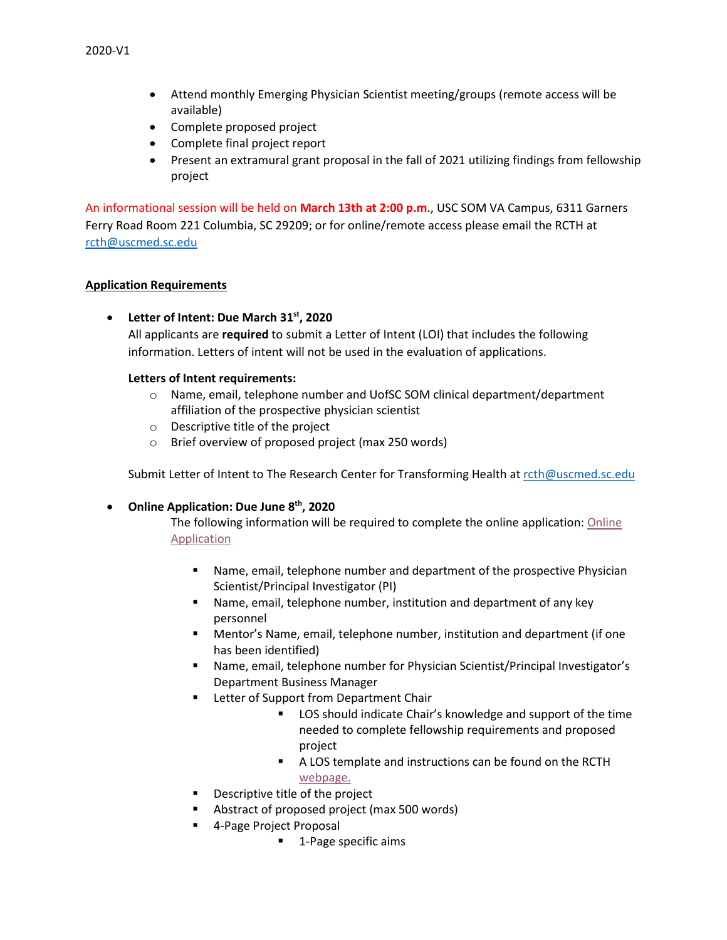- Attend monthly Emerging Physician Scientist meeting/groups (remote access will be available)
- Complete proposed project
- Complete final project report
- Present an extramural grant proposal in the fall of 2021 utilizing findings from fellowship project

An informational session will be held on **March 13th at 2:00 p.m**., USC SOM VA Campus, 6311 Garners Ferry Road Room 221 Columbia, SC 29209; or for online/remote access please email the RCTH at [rcth@uscmed.sc.edu](mailto:rcth@uscmed.sc.edu)

## **Application Requirements**

• **Letter of Intent: Due March 31st, 2020**

All applicants are **required** to submit a Letter of Intent (LOI) that includes the following information. Letters of intent will not be used in the evaluation of applications.

## **Letters of Intent requirements:**

- o Name, email, telephone number and UofSC SOM clinical department/department affiliation of the prospective physician scientist
- o Descriptive title of the project
- o Brief overview of proposed project (max 250 words)

Submit Letter of Intent to The Research Center for Transforming Health at [rcth@uscmed.sc.edu](mailto:rcth@uscmed.sc.edu)

# • **Online Application: Due June 8th, 2020**

The following information will be required to complete the online application[: Online](https://redcap.healthsciencessc.org/surveys/?s=R9R89P9NY4)  [Application](https://redcap.healthsciencessc.org/surveys/?s=R9R89P9NY4)

- Name, email, telephone number and department of the prospective Physician Scientist/Principal Investigator (PI)
- Name, email, telephone number, institution and department of any key personnel
- Mentor's Name, email, telephone number, institution and department (if one has been identified)
- Name, email, telephone number for Physician Scientist/Principal Investigator's Department Business Manager
- **Letter of Support from Department Chair** 
	- LOS should indicate Chair's knowledge and support of the time needed to complete fellowship requirements and proposed project
	- A LOS template and instructions can be found on the RCTH [webpage.](http://www.sc.edu/study/colleges_schools/medicine/internal/research_resources/research_center_transforming_health/emerging_physician_scientists/index.php)
- Descriptive title of the project
- **Abstract of proposed project (max 500 words)**
- 4-Page Project Proposal
	- **1**-Page specific aims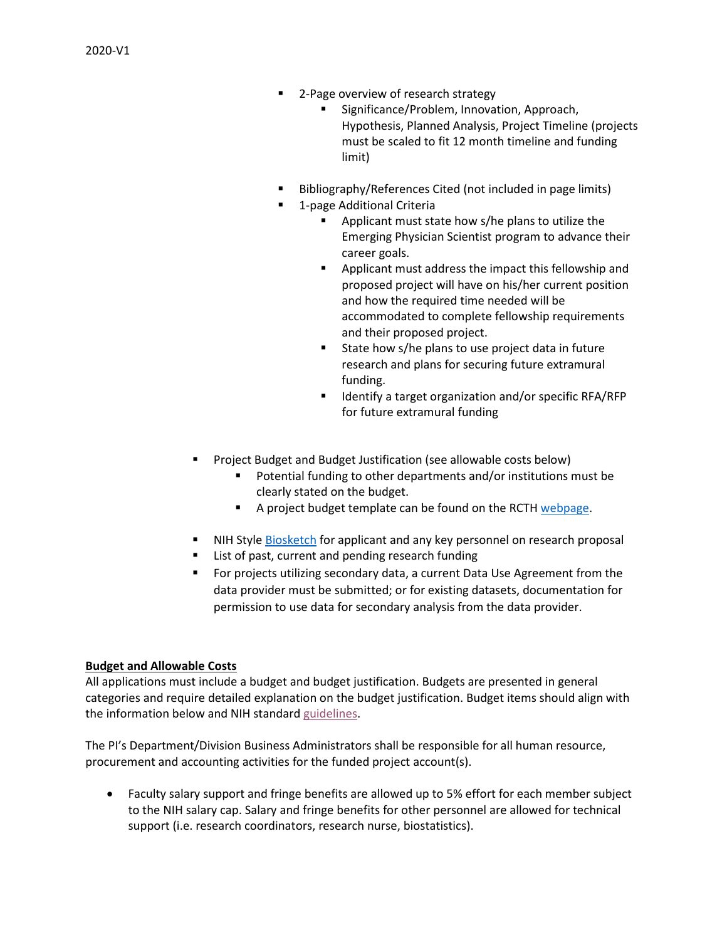- 2-Page overview of research strategy
	- Significance/Problem, Innovation, Approach, Hypothesis, Planned Analysis, Project Timeline (projects must be scaled to fit 12 month timeline and funding limit)
- Bibliography/References Cited (not included in page limits)
- 1-page Additional Criteria
	- **Applicant must state how s/he plans to utilize the** Emerging Physician Scientist program to advance their career goals.
	- **EXTERGH** Applicant must address the impact this fellowship and proposed project will have on his/her current position and how the required time needed will be accommodated to complete fellowship requirements and their proposed project.
	- State how s/he plans to use project data in future research and plans for securing future extramural funding.
	- Identify a target organization and/or specific RFA/RFP for future extramural funding
- Project Budget and Budget Justification (see allowable costs below)
	- Potential funding to other departments and/or institutions must be clearly stated on the budget.
	- A project budget template can be found on the RCT[H webpage.](http://www.sc.edu/study/colleges_schools/medicine/internal/research_resources/research_center_transforming_health/emerging_physician_scientists/index.php)
- NIH Styl[e Biosketch](https://grants.nih.gov/grants/forms/biosketch.htm) for applicant and any key personnel on research proposal
- List of past, current and pending research funding
- For projects utilizing secondary data, a current Data Use Agreement from the data provider must be submitted; or for existing datasets, documentation for permission to use data for secondary analysis from the data provider.

#### **Budget and Allowable Costs**

All applications must include a budget and budget justification. Budgets are presented in general categories and require detailed explanation on the budget justification. Budget items should align with the information below and NIH standar[d guidelines.](https://grants.nih.gov/grants/policy/nihgps/html5/section_7/7.9_allowability_of_costs_activities.htm)

The PI's Department/Division Business Administrators shall be responsible for all human resource, procurement and accounting activities for the funded project account(s).

• Faculty salary support and fringe benefits are allowed up to 5% effort for each member subject to the NIH salary cap. Salary and fringe benefits for other personnel are allowed for technical support (i.e. research coordinators, research nurse, biostatistics).